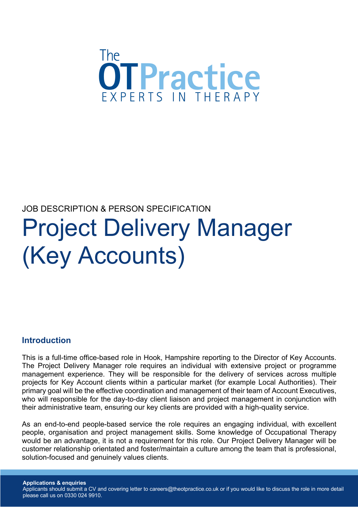

# JOB DESCRIPTION & PERSON SPECIFICATION Project Delivery Manager (Key Accounts)

#### **Introduction**

This is a full-time office-based role in Hook, Hampshire reporting to the Director of Key Accounts. The Project Delivery Manager role requires an individual with extensive project or programme management experience. They will be responsible for the delivery of services across multiple projects for Key Account clients within a particular market (for example Local Authorities). Their primary goal will be the effective coordination and management of their team of Account Executives, who will responsible for the day-to-day client liaison and project management in conjunction with their administrative team, ensuring our key clients are provided with a high-quality service.

As an end-to-end people-based service the role requires an engaging individual, with excellent people, organisation and project management skills. Some knowledge of Occupational Therapy would be an advantage, it is not a requirement for this role. Our Project Delivery Manager will be customer relationship orientated and foster/maintain a culture among the team that is professional, solution-focused and genuinely values clients.

**Applications & enquiries** Applicants should submit a CV and covering letter to careers@theotpractice.co.uk or if you would like to discuss the role in more detail please call us on 0330 024 9910.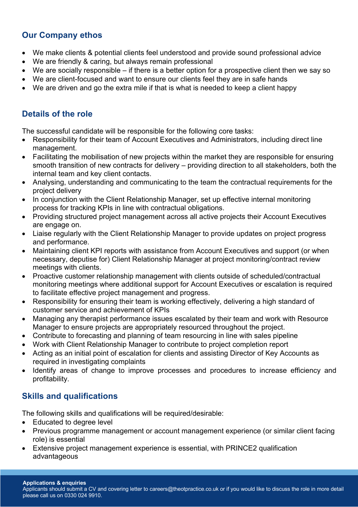## **Our Company ethos**

- We make clients & potential clients feel understood and provide sound professional advice
- We are friendly & caring, but always remain professional
- We are socially responsible if there is a better option for a prospective client then we say so
- We are client-focused and want to ensure our clients feel they are in safe hands
- We are driven and go the extra mile if that is what is needed to keep a client happy

## **Details of the role**

The successful candidate will be responsible for the following core tasks:

- Responsibility for their team of Account Executives and Administrators, including direct line management.
- Facilitating the mobilisation of new projects within the market they are responsible for ensuring smooth transition of new contracts for delivery – providing direction to all stakeholders, both the internal team and key client contacts.
- Analysing, understanding and communicating to the team the contractual requirements for the project delivery
- In conjunction with the Client Relationship Manager, set up effective internal monitoring process for tracking KPIs in line with contractual obligations.
- Providing structured project management across all active projects their Account Executives are engage on.
- Liaise regularly with the Client Relationship Manager to provide updates on project progress and performance.
- Maintaining client KPI reports with assistance from Account Executives and support (or when necessary, deputise for) Client Relationship Manager at project monitoring/contract review meetings with clients.
- Proactive customer relationship management with clients outside of scheduled/contractual monitoring meetings where additional support for Account Executives or escalation is required to facilitate effective project management and progress.
- Responsibility for ensuring their team is working effectively, delivering a high standard of customer service and achievement of KPIs
- Managing any therapist performance issues escalated by their team and work with Resource Manager to ensure projects are appropriately resourced throughout the project.
- Contribute to forecasting and planning of team resourcing in line with sales pipeline
- Work with Client Relationship Manager to contribute to project completion report
- Acting as an initial point of escalation for clients and assisting Director of Key Accounts as required in investigating complaints
- Identify areas of change to improve processes and procedures to increase efficiency and profitability.

## **Skills and qualifications**

The following skills and qualifications will be required/desirable:

- Educated to degree level
- Previous programme management or account management experience (or similar client facing role) is essential
- Extensive project management experience is essential, with PRINCE2 qualification advantageous